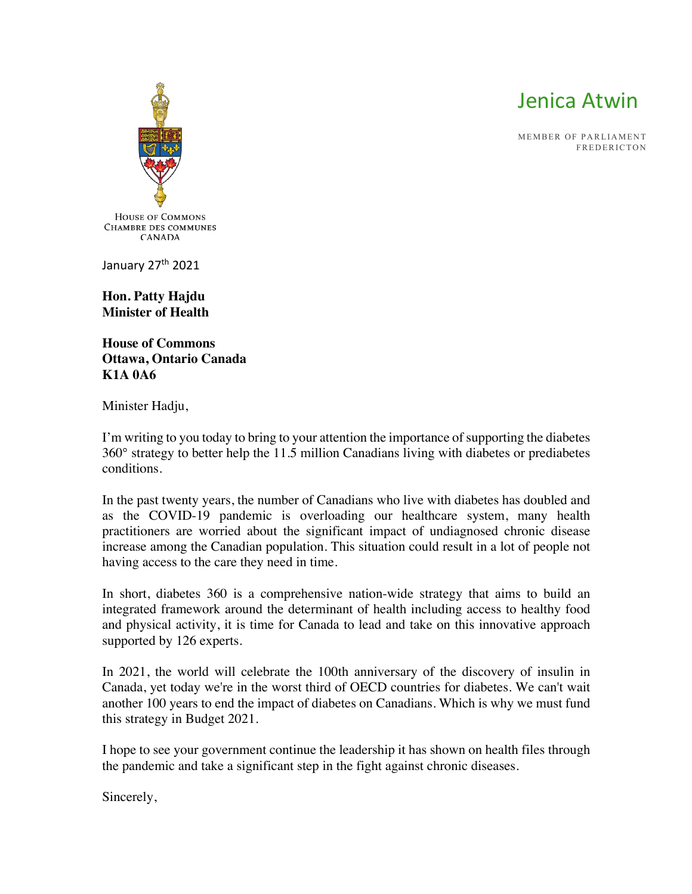

MEMBER OF PARLIAMENT FREDERICTON



January 27<sup>th</sup> 2021

**Hon. Patty Hajdu Minister of Health**

**House of Commons Ottawa, Ontario Canada K1A 0A6** 

Minister Hadju,

I'm writing to you today to bring to your attention the importance of supporting the diabetes 360° strategy to better help the 11.5 million Canadians living with diabetes or prediabetes conditions.

In the past twenty years, the number of Canadians who live with diabetes has doubled and as the COVID-19 pandemic is overloading our healthcare system, many health practitioners are worried about the significant impact of undiagnosed chronic disease increase among the Canadian population. This situation could result in a lot of people not having access to the care they need in time.

In short, diabetes 360 is a comprehensive nation-wide strategy that aims to build an integrated framework around the determinant of health including access to healthy food and physical activity, it is time for Canada to lead and take on this innovative approach supported by 126 experts.

In 2021, the world will celebrate the 100th anniversary of the discovery of insulin in Canada, yet today we're in the worst third of OECD countries for diabetes. We can't wait another 100 years to end the impact of diabetes on Canadians. Which is why we must fund this strategy in Budget 2021.

I hope to see your government continue the leadership it has shown on health files through the pandemic and take a significant step in the fight against chronic diseases.

Sincerely,